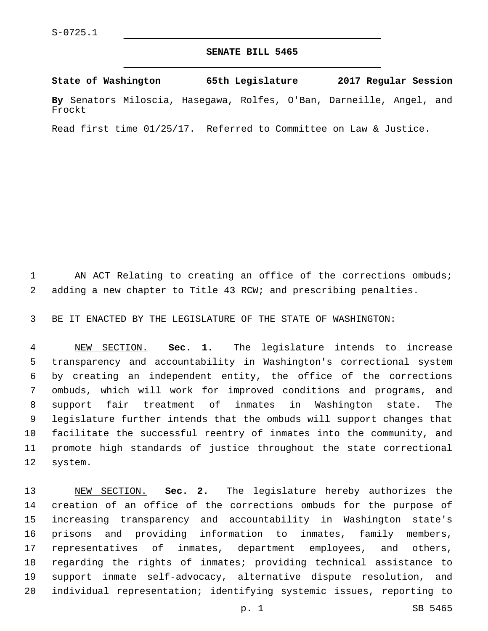## **SENATE BILL 5465**

**State of Washington 65th Legislature 2017 Regular Session**

**By** Senators Miloscia, Hasegawa, Rolfes, O'Ban, Darneille, Angel, and Frockt

Read first time 01/25/17. Referred to Committee on Law & Justice.

1 AN ACT Relating to creating an office of the corrections ombuds; adding a new chapter to Title 43 RCW; and prescribing penalties.

BE IT ENACTED BY THE LEGISLATURE OF THE STATE OF WASHINGTON:

 NEW SECTION. **Sec. 1.** The legislature intends to increase transparency and accountability in Washington's correctional system by creating an independent entity, the office of the corrections ombuds, which will work for improved conditions and programs, and support fair treatment of inmates in Washington state. The legislature further intends that the ombuds will support changes that facilitate the successful reentry of inmates into the community, and promote high standards of justice throughout the state correctional system.

 NEW SECTION. **Sec. 2.** The legislature hereby authorizes the creation of an office of the corrections ombuds for the purpose of increasing transparency and accountability in Washington state's prisons and providing information to inmates, family members, representatives of inmates, department employees, and others, regarding the rights of inmates; providing technical assistance to support inmate self-advocacy, alternative dispute resolution, and individual representation; identifying systemic issues, reporting to

p. 1 SB 5465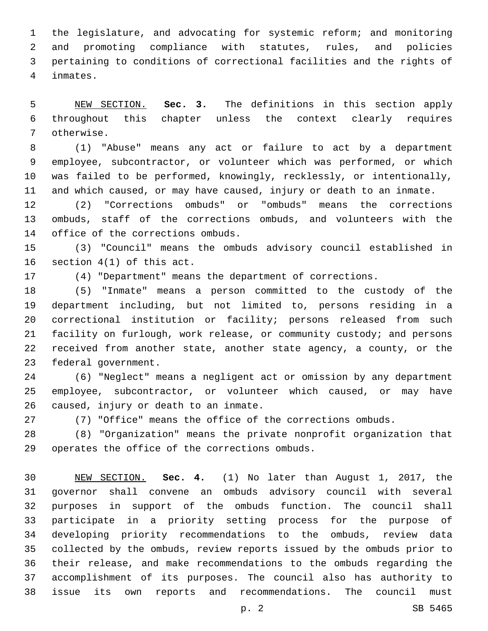the legislature, and advocating for systemic reform; and monitoring and promoting compliance with statutes, rules, and policies pertaining to conditions of correctional facilities and the rights of inmates.4

 NEW SECTION. **Sec. 3.** The definitions in this section apply throughout this chapter unless the context clearly requires otherwise.

 (1) "Abuse" means any act or failure to act by a department employee, subcontractor, or volunteer which was performed, or which was failed to be performed, knowingly, recklessly, or intentionally, and which caused, or may have caused, injury or death to an inmate.

 (2) "Corrections ombuds" or "ombuds" means the corrections ombuds, staff of the corrections ombuds, and volunteers with the 14 office of the corrections ombuds.

 (3) "Council" means the ombuds advisory council established in 16 section  $4(1)$  of this act.

(4) "Department" means the department of corrections.

 (5) "Inmate" means a person committed to the custody of the department including, but not limited to, persons residing in a correctional institution or facility; persons released from such facility on furlough, work release, or community custody; and persons received from another state, another state agency, a county, or the 23 federal government.

 (6) "Neglect" means a negligent act or omission by any department employee, subcontractor, or volunteer which caused, or may have 26 caused, injury or death to an inmate.

(7) "Office" means the office of the corrections ombuds.

 (8) "Organization" means the private nonprofit organization that 29 operates the office of the corrections ombuds.

 NEW SECTION. **Sec. 4.** (1) No later than August 1, 2017, the governor shall convene an ombuds advisory council with several purposes in support of the ombuds function. The council shall participate in a priority setting process for the purpose of developing priority recommendations to the ombuds, review data collected by the ombuds, review reports issued by the ombuds prior to their release, and make recommendations to the ombuds regarding the accomplishment of its purposes. The council also has authority to issue its own reports and recommendations. The council must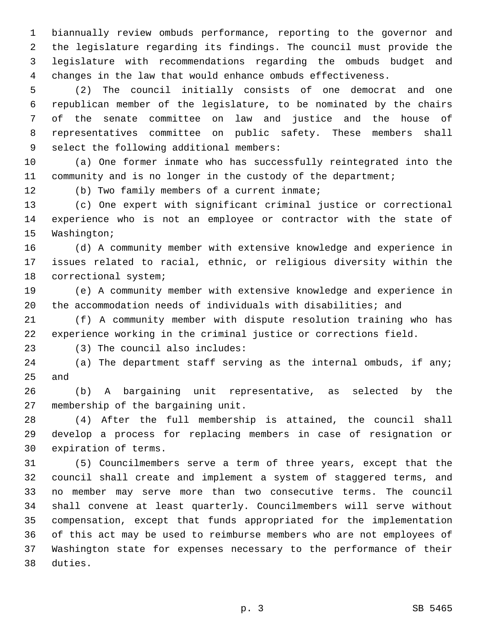biannually review ombuds performance, reporting to the governor and the legislature regarding its findings. The council must provide the legislature with recommendations regarding the ombuds budget and changes in the law that would enhance ombuds effectiveness.

 (2) The council initially consists of one democrat and one republican member of the legislature, to be nominated by the chairs of the senate committee on law and justice and the house of representatives committee on public safety. These members shall 9 select the following additional members:

 (a) One former inmate who has successfully reintegrated into the 11 community and is no longer in the custody of the department;

12 (b) Two family members of a current inmate;

 (c) One expert with significant criminal justice or correctional experience who is not an employee or contractor with the state of 15 Washington;

 (d) A community member with extensive knowledge and experience in issues related to racial, ethnic, or religious diversity within the 18 correctional system;

 (e) A community member with extensive knowledge and experience in the accommodation needs of individuals with disabilities; and

 (f) A community member with dispute resolution training who has experience working in the criminal justice or corrections field.

(3) The council also includes:23

 (a) The department staff serving as the internal ombuds, if any; and

 (b) A bargaining unit representative, as selected by the 27 membership of the bargaining unit.

 (4) After the full membership is attained, the council shall develop a process for replacing members in case of resignation or 30 expiration of terms.

 (5) Councilmembers serve a term of three years, except that the council shall create and implement a system of staggered terms, and no member may serve more than two consecutive terms. The council shall convene at least quarterly. Councilmembers will serve without compensation, except that funds appropriated for the implementation of this act may be used to reimburse members who are not employees of Washington state for expenses necessary to the performance of their 38 duties.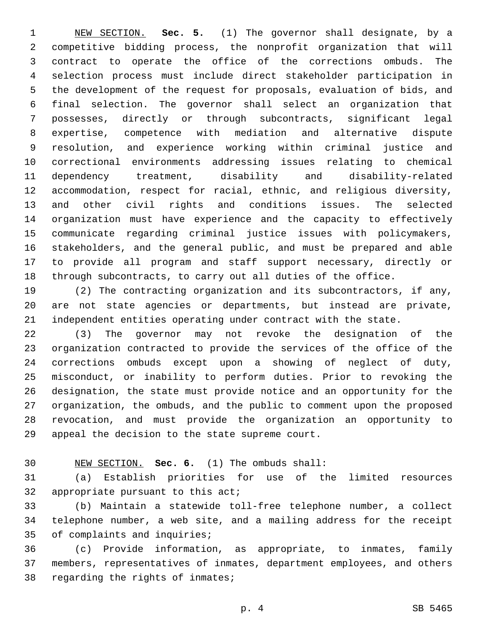NEW SECTION. **Sec. 5.** (1) The governor shall designate, by a competitive bidding process, the nonprofit organization that will contract to operate the office of the corrections ombuds. The selection process must include direct stakeholder participation in the development of the request for proposals, evaluation of bids, and final selection. The governor shall select an organization that possesses, directly or through subcontracts, significant legal expertise, competence with mediation and alternative dispute resolution, and experience working within criminal justice and correctional environments addressing issues relating to chemical dependency treatment, disability and disability-related accommodation, respect for racial, ethnic, and religious diversity, and other civil rights and conditions issues. The selected organization must have experience and the capacity to effectively communicate regarding criminal justice issues with policymakers, stakeholders, and the general public, and must be prepared and able to provide all program and staff support necessary, directly or through subcontracts, to carry out all duties of the office.

 (2) The contracting organization and its subcontractors, if any, are not state agencies or departments, but instead are private, independent entities operating under contract with the state.

 (3) The governor may not revoke the designation of the organization contracted to provide the services of the office of the corrections ombuds except upon a showing of neglect of duty, misconduct, or inability to perform duties. Prior to revoking the designation, the state must provide notice and an opportunity for the organization, the ombuds, and the public to comment upon the proposed revocation, and must provide the organization an opportunity to 29 appeal the decision to the state supreme court.

## NEW SECTION. **Sec. 6.** (1) The ombuds shall:

 (a) Establish priorities for use of the limited resources 32 appropriate pursuant to this  $acti$ 

 (b) Maintain a statewide toll-free telephone number, a collect telephone number, a web site, and a mailing address for the receipt 35 of complaints and inquiries;

 (c) Provide information, as appropriate, to inmates, family members, representatives of inmates, department employees, and others 38 regarding the rights of inmates;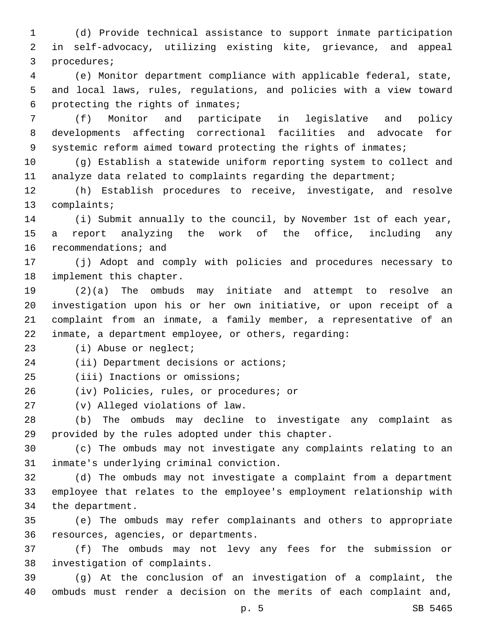(d) Provide technical assistance to support inmate participation in self-advocacy, utilizing existing kite, grievance, and appeal 3 procedures;

 (e) Monitor department compliance with applicable federal, state, and local laws, rules, regulations, and policies with a view toward 6 protecting the rights of inmates;

 (f) Monitor and participate in legislative and policy developments affecting correctional facilities and advocate for systemic reform aimed toward protecting the rights of inmates;

 (g) Establish a statewide uniform reporting system to collect and analyze data related to complaints regarding the department;

 (h) Establish procedures to receive, investigate, and resolve 13 complaints;

 (i) Submit annually to the council, by November 1st of each year, a report analyzing the work of the office, including any 16 recommendations; and

 (j) Adopt and comply with policies and procedures necessary to 18 implement this chapter.

 (2)(a) The ombuds may initiate and attempt to resolve an investigation upon his or her own initiative, or upon receipt of a complaint from an inmate, a family member, a representative of an inmate, a department employee, or others, regarding:

23 (i) Abuse or neglect;

24 (ii) Department decisions or actions;

25 (iii) Inactions or omissions;

26 (iv) Policies, rules, or procedures; or

(v) Alleged violations of law.27

 (b) The ombuds may decline to investigate any complaint as 29 provided by the rules adopted under this chapter.

 (c) The ombuds may not investigate any complaints relating to an inmate's underlying criminal conviction.31

 (d) The ombuds may not investigate a complaint from a department employee that relates to the employee's employment relationship with 34 the department.

 (e) The ombuds may refer complainants and others to appropriate 36 resources, agencies, or departments.

 (f) The ombuds may not levy any fees for the submission or 38 investigation of complaints.

 (g) At the conclusion of an investigation of a complaint, the ombuds must render a decision on the merits of each complaint and,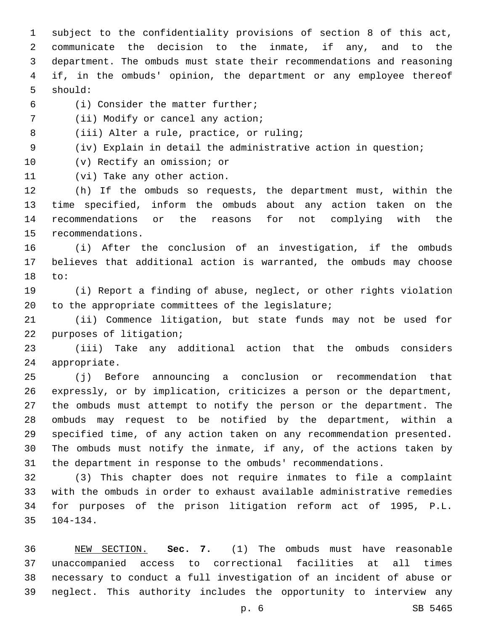subject to the confidentiality provisions of section 8 of this act, communicate the decision to the inmate, if any, and to the department. The ombuds must state their recommendations and reasoning if, in the ombuds' opinion, the department or any employee thereof 5 should:

(i) Consider the matter further;6

7 (ii) Modify or cancel any action;

8 (iii) Alter a rule, practice, or ruling;

(iv) Explain in detail the administrative action in question;

10 (v) Rectify an omission; or

11 (vi) Take any other action.

 (h) If the ombuds so requests, the department must, within the time specified, inform the ombuds about any action taken on the recommendations or the reasons for not complying with the 15 recommendations.

 (i) After the conclusion of an investigation, if the ombuds believes that additional action is warranted, the ombuds may choose 18 to:

 (i) Report a finding of abuse, neglect, or other rights violation 20 to the appropriate committees of the legislature;

 (ii) Commence litigation, but state funds may not be used for 22 purposes of litigation;

 (iii) Take any additional action that the ombuds considers 24 appropriate.

 (j) Before announcing a conclusion or recommendation that expressly, or by implication, criticizes a person or the department, the ombuds must attempt to notify the person or the department. The ombuds may request to be notified by the department, within a specified time, of any action taken on any recommendation presented. The ombuds must notify the inmate, if any, of the actions taken by the department in response to the ombuds' recommendations.

 (3) This chapter does not require inmates to file a complaint with the ombuds in order to exhaust available administrative remedies for purposes of the prison litigation reform act of 1995, P.L. 104-134.

 NEW SECTION. **Sec. 7.** (1) The ombuds must have reasonable unaccompanied access to correctional facilities at all times necessary to conduct a full investigation of an incident of abuse or neglect. This authority includes the opportunity to interview any

p. 6 SB 5465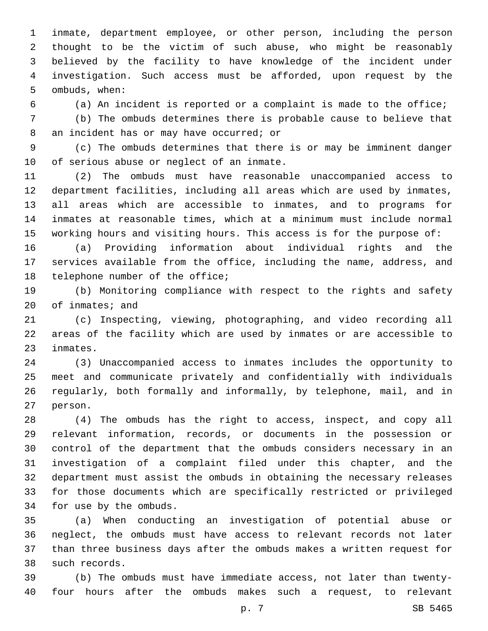inmate, department employee, or other person, including the person thought to be the victim of such abuse, who might be reasonably believed by the facility to have knowledge of the incident under investigation. Such access must be afforded, upon request by the 5 ombuds, when:

(a) An incident is reported or a complaint is made to the office;

 (b) The ombuds determines there is probable cause to believe that 8 an incident has or may have occurred; or

 (c) The ombuds determines that there is or may be imminent danger 10 of serious abuse or neglect of an inmate.

 (2) The ombuds must have reasonable unaccompanied access to department facilities, including all areas which are used by inmates, all areas which are accessible to inmates, and to programs for inmates at reasonable times, which at a minimum must include normal working hours and visiting hours. This access is for the purpose of:

 (a) Providing information about individual rights and the services available from the office, including the name, address, and 18 telephone number of the office;

 (b) Monitoring compliance with respect to the rights and safety 20 of inmates; and

 (c) Inspecting, viewing, photographing, and video recording all areas of the facility which are used by inmates or are accessible to 23 inmates.

 (3) Unaccompanied access to inmates includes the opportunity to meet and communicate privately and confidentially with individuals regularly, both formally and informally, by telephone, mail, and in 27 person.

 (4) The ombuds has the right to access, inspect, and copy all relevant information, records, or documents in the possession or control of the department that the ombuds considers necessary in an investigation of a complaint filed under this chapter, and the department must assist the ombuds in obtaining the necessary releases for those documents which are specifically restricted or privileged 34 for use by the ombuds.

 (a) When conducting an investigation of potential abuse or neglect, the ombuds must have access to relevant records not later than three business days after the ombuds makes a written request for 38 such records.

 (b) The ombuds must have immediate access, not later than twenty-four hours after the ombuds makes such a request, to relevant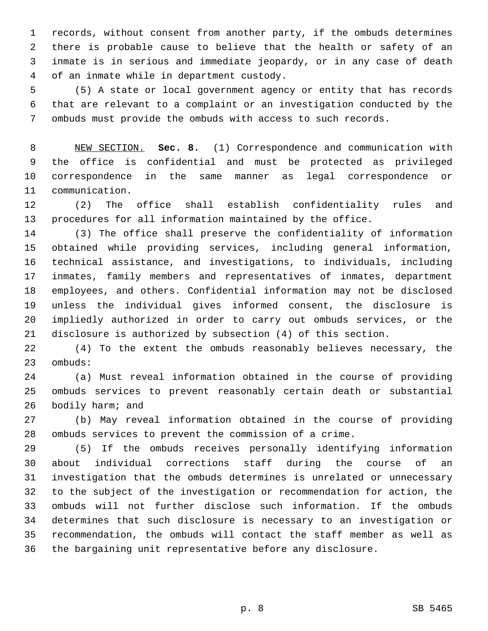records, without consent from another party, if the ombuds determines there is probable cause to believe that the health or safety of an inmate is in serious and immediate jeopardy, or in any case of death 4 of an inmate while in department custody.

 (5) A state or local government agency or entity that has records that are relevant to a complaint or an investigation conducted by the ombuds must provide the ombuds with access to such records.

 NEW SECTION. **Sec. 8.** (1) Correspondence and communication with the office is confidential and must be protected as privileged correspondence in the same manner as legal correspondence or communication.

 (2) The office shall establish confidentiality rules and procedures for all information maintained by the office.

 (3) The office shall preserve the confidentiality of information obtained while providing services, including general information, technical assistance, and investigations, to individuals, including inmates, family members and representatives of inmates, department employees, and others. Confidential information may not be disclosed unless the individual gives informed consent, the disclosure is impliedly authorized in order to carry out ombuds services, or the disclosure is authorized by subsection (4) of this section.

 (4) To the extent the ombuds reasonably believes necessary, the 23 ombuds:

 (a) Must reveal information obtained in the course of providing ombuds services to prevent reasonably certain death or substantial 26 bodily harm; and

 (b) May reveal information obtained in the course of providing ombuds services to prevent the commission of a crime.

 (5) If the ombuds receives personally identifying information about individual corrections staff during the course of an investigation that the ombuds determines is unrelated or unnecessary to the subject of the investigation or recommendation for action, the ombuds will not further disclose such information. If the ombuds determines that such disclosure is necessary to an investigation or recommendation, the ombuds will contact the staff member as well as the bargaining unit representative before any disclosure.